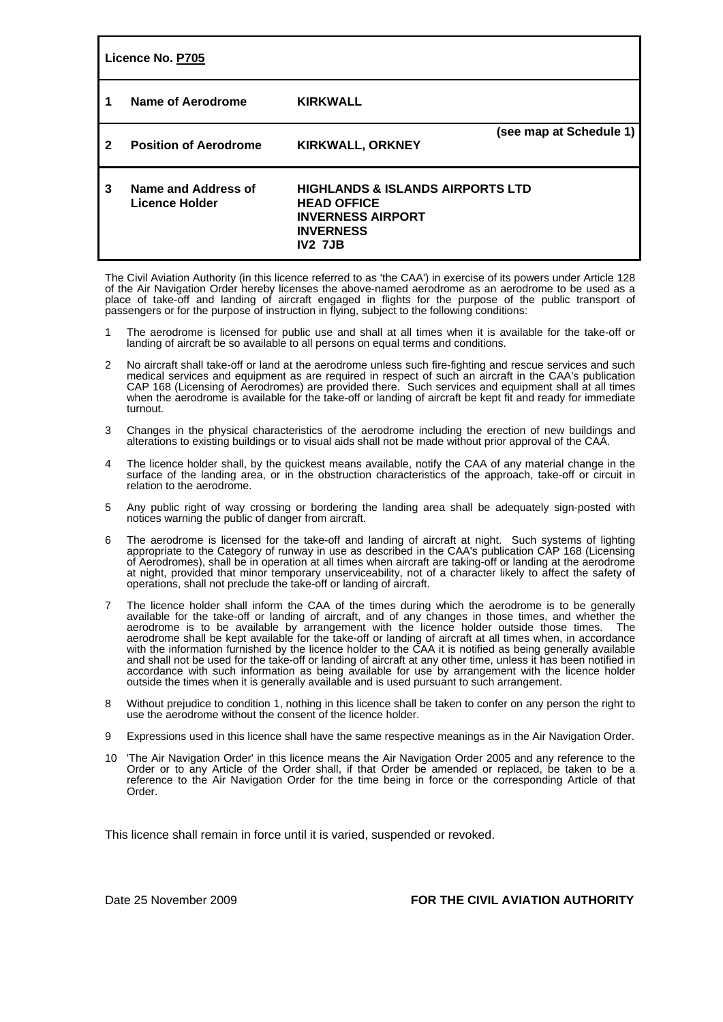| Licence No. P705 |                                       |                                                                                                                                     |                         |
|------------------|---------------------------------------|-------------------------------------------------------------------------------------------------------------------------------------|-------------------------|
| 1                | Name of Aerodrome                     | <b>KIRKWALL</b>                                                                                                                     |                         |
| 2                | <b>Position of Aerodrome</b>          | <b>KIRKWALL, ORKNEY</b>                                                                                                             | (see map at Schedule 1) |
| 3                | Name and Address of<br>Licence Holder | <b>HIGHLANDS &amp; ISLANDS AIRPORTS LTD</b><br><b>HEAD OFFICE</b><br><b>INVERNESS AIRPORT</b><br><b>INVERNESS</b><br><b>IV2 7JB</b> |                         |

The Civil Aviation Authority (in this licence referred to as 'the CAA') in exercise of its powers under Article 128 of the Air Navigation Order hereby licenses the above-named aerodrome as an aerodrome to be used as a place of take-off and landing of aircraft engaged in flights for the purpose of the public transport of passengers or for the purpose of instruction in flying, subject to the following conditions:

- 1 The aerodrome is licensed for public use and shall at all times when it is available for the take-off or landing of aircraft be so available to all persons on equal terms and conditions.
- 2 No aircraft shall take-off or land at the aerodrome unless such fire-fighting and rescue services and such medical services and equipment as are required in respect of such an aircraft in the CAA's publication CAP 168 (Licensing of Aerodromes) are provided there. Such services and equipment shall at all times when the aerodrome is available for the take-off or landing of aircraft be kept fit and ready for immediate turnout.
- 3 Changes in the physical characteristics of the aerodrome including the erection of new buildings and alterations to existing buildings or to visual aids shall not be made without prior approval of the CAA.
- 4 The licence holder shall, by the quickest means available, notify the CAA of any material change in the surface of the landing area, or in the obstruction characteristics of the approach, take-off or circuit in relation to the aerodrome.
- 5 Any public right of way crossing or bordering the landing area shall be adequately sign-posted with notices warning the public of danger from aircraft.
- 6 The aerodrome is licensed for the take-off and landing of aircraft at night. Such systems of lighting appropriate to the Category of runway in use as described in the CAA's publication CAP 168 (Licensing of Aerodromes), shall be in operation at all times when aircraft are taking-off or landing at the aerodrome at night, provided that minor temporary unserviceability, not of a character likely to affect the safety of operations, shall not preclude the take-off or landing of aircraft.
- 7 The licence holder shall inform the CAA of the times during which the aerodrome is to be generally available for the take-off or landing of aircraft, and of any changes in those times, and whether the aerodrome is to be available by arrangement with the licence holder outside those times. The aerodrome shall be kept available for the take-off or landing of aircraft at all times when, in accordance with the information furnished by the licence holder to the CAA it is notified as being generally available and shall not be used for the take-off or landing of aircraft at any other time, unless it has been notified in accordance with such information as being available for use by arrangement with the licence holder outside the times when it is generally available and is used pursuant to such arrangement.
- 8 Without prejudice to condition 1, nothing in this licence shall be taken to confer on any person the right to use the aerodrome without the consent of the licence holder.
- 9 Expressions used in this licence shall have the same respective meanings as in the Air Navigation Order.
- 10 'The Air Navigation Order' in this licence means the Air Navigation Order 2005 and any reference to the Order or to any Article of the Order shall, if that Order be amended or replaced, be taken to be a reference to the Air Navigation Order for the time being in force or the corresponding Article of that Order.

This licence shall remain in force until it is varied, suspended or revoked.